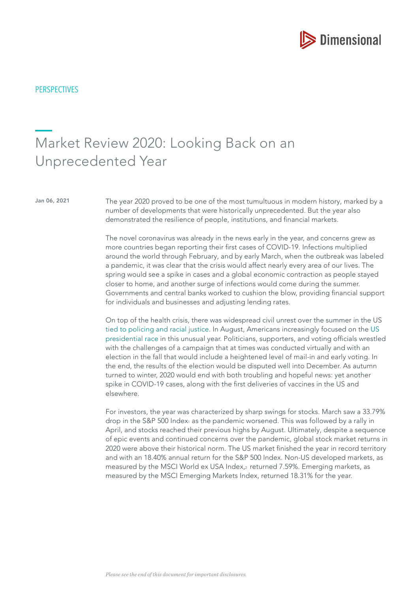

**PERSPECTIVES** 

# Market Review 2020: Looking Back on an Unprecedented Year

Jan 06, 2021 The year 2020 proved to be one of the most tumultuous in modern history, marked by a number of developments that were historically unprecedented. But the year also demonstrated the resilience of people, institutions, and financial markets.

> The novel coronavirus was already in the news early in the year, and concerns grew as more countries began reporting their frst cases of COVID-19. Infections multiplied around the world through February, and by early March, when the outbreak was labeled a pandemic, it was clear that the crisis would affect nearly every area of our lives. The spring would see a spike in cases and a global economic contraction as people stayed closer to home, and another surge of infections would come during the summer. Governments and central banks worked to cushion the blow, providing fnancial support for individuals and businesses and adjusting lending rates.

> On top of the health crisis, there was widespread civil unrest over the summer in the US [tied to policing and racial justice.](https://www.mydimensional.com/a-reflection-on-racial-injustice-and-hope-for-a-change) In August, Americans increasingly focused on the [US](https://www.mydimensional.com/how-much-impact-does-the-president-have-on-stocks)  [presidential race](https://www.mydimensional.com/how-much-impact-does-the-president-have-on-stocks) in this unusual year. Politicians, supporters, and voting officials wrestled with the challenges of a campaign that at times was conducted virtually and with an election in the fall that would include a heightened level of mail-in and early voting. In the end, the results of the election would be disputed well into December. As autumn turned to winter, 2020 would end with both troubling and hopeful news: yet another spike in COVID-19 cases, along with the first deliveries of vaccines in the US and elsewhere.

> For investors, the year was characterized by sharp swings for stocks. March saw a 33.79% drop in the S&P 500 Index1 as the pandemic worsened. This was followed by a rally in April, and stocks reached their previous highs by August. Ultimately, despite a sequence of epic events and continued concerns over the pandemic, global stock market returns in 2020 were above their historical norm. The US market fnished the year in record territory and with an 18.40% annual return for the S&P 500 Index. Non-US developed markets, as measured by the MSCI World ex USA Index,2 returned 7.59%. Emerging markets, as measured by the MSCI Emerging Markets Index, returned 18.31% for the year.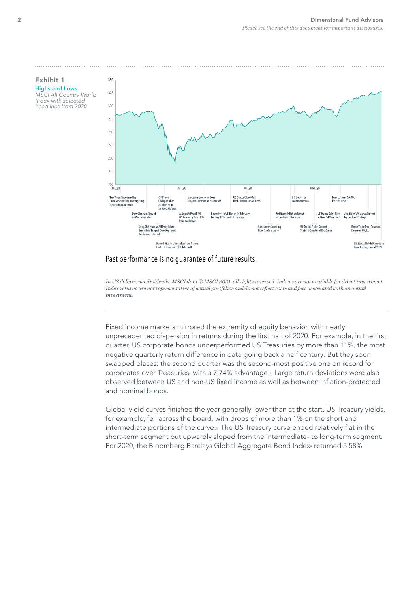#### Exhibit 1 Highs and Lows MSCI All Country World Index with selected

headlines from 2020



## Past performance is no guarantee of future results.

*In US dollars, net dividends. MSCI data © MSCI 2021, all rights reserved. Indices are not available for direct investment. Index returns are not representative of actual portfolios and do not refect costs and fees associated with an actual investment.*

Fixed income markets mirrored the extremity of equity behavior, with nearly unprecedented dispersion in returns during the first half of 2020. For example, in the first quarter, US corporate bonds underperformed US Treasuries by more than 11%, the most negative quarterly return difference in data going back a half century. But they soon swapped places: the second quarter was the second-most positive one on record for corporates over Treasuries, with a 7.74% advantage.3 Large return deviations were also observed between US and non-US fixed income as well as between inflation-protected and nominal bonds.

Global yield curves fnished the year generally lower than at the start. US Treasury yields, for example, fell across the board, with drops of more than 1% on the short and intermediate portions of the curve.4 The US Treasury curve ended relatively fat in the short-term segment but upwardly sloped from the intermediate- to long-term segment. For 2020, the Bloomberg Barclays Global Aggregate Bond Indexs returned 5.58%.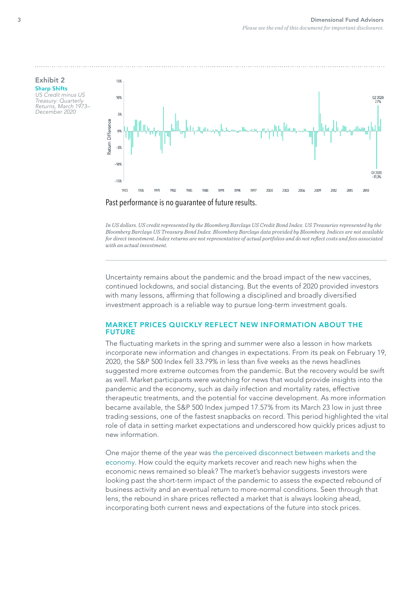

*In US dollars. US credit represented by the Bloomberg Barclays US Credit Bond Index. US Treasuries represented by the Bloomberg Barclays US Treasury Bond Index. Bloomberg Barclays data provided by Bloomberg. Indices are not available for direct investment. Index returns are not representative of actual portfolios and do not refect costs and fees associated with an actual investment.*

Uncertainty remains about the pandemic and the broad impact of the new vaccines, continued lockdowns, and social distancing. But the events of 2020 provided investors with many lessons, affirming that following a disciplined and broadly diversified investment approach is a reliable way to pursue long-term investment goals.

## MARKET PRICES QUICKLY REFLECT NEW INFORMATION ABOUT THE FUTURE

The fuctuating markets in the spring and summer were also a lesson in how markets incorporate new information and changes in expectations. From its peak on February 19, 2020, the S&P 500 Index fell 33.79% in less than five weeks as the news headlines suggested more extreme outcomes from the pandemic. But the recovery would be swift as well. Market participants were watching for news that would provide insights into the pandemic and the economy, such as daily infection and mortality rates, effective therapeutic treatments, and the potential for vaccine development. As more information became available, the S&P 500 Index jumped 17.57% from its March 23 low in just three trading sessions, one of the fastest snapbacks on record. This period highlighted the vital role of data in setting market expectations and underscored how quickly prices adjust to new information.

One major theme of the year was [the perceived disconnect between markets and the](https://www.mydimensional.com/is-the-stock-market-divorced-from-reality)  [economy.](https://www.mydimensional.com/is-the-stock-market-divorced-from-reality) How could the equity markets recover and reach new highs when the economic news remained so bleak? The market's behavior suggests investors were looking past the short-term impact of the pandemic to assess the expected rebound of business activity and an eventual return to more-normal conditions. Seen through that lens, the rebound in share prices refected a market that is always looking ahead, incorporating both current news and expectations of the future into stock prices.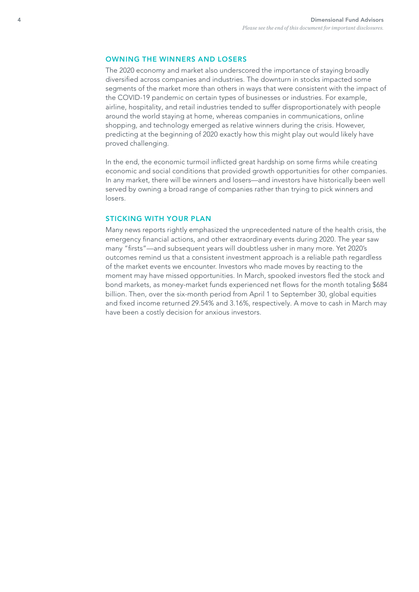#### OWNING THE WINNERS AND LOSERS

The 2020 economy and market also underscored the importance of staying broadly diversifed across companies and industries. The downturn in stocks impacted some segments of the market more than others in ways that were consistent with the impact of the COVID-19 pandemic on certain types of businesses or industries. For example, airline, hospitality, and retail industries tended to suffer disproportionately with people around the world staying at home, whereas companies in communications, online shopping, and technology emerged as relative winners during the crisis. However, predicting at the beginning of 2020 exactly how this might play out would likely have proved challenging.

In the end, the economic turmoil inficted great hardship on some frms while creating economic and social conditions that provided growth opportunities for other companies. In any market, there will be winners and losers—and investors have historically been well served by owning a broad range of companies rather than trying to pick winners and losers.

## STICKING WITH YOUR PLAN

Many news reports rightly emphasized the unprecedented nature of the health crisis, the emergency fnancial actions, and other extraordinary events during 2020. The year saw many "firsts"—and subsequent years will doubtless usher in many more. Yet 2020's outcomes remind us that a consistent investment approach is a reliable path regardless of the market events we encounter. Investors who made moves by reacting to the moment may have missed opportunities. In March, spooked investors fed the stock and bond markets, as money-market funds experienced net flows for the month totaling \$684 billion. Then, over the six-month period from April 1 to September 30, global equities and fixed income returned 29.54% and 3.16%, respectively. A move to cash in March may have been a costly decision for anxious investors.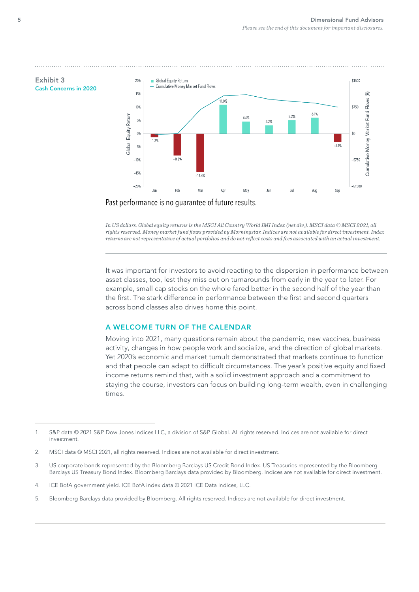

*In US dollars. Global equity returns is the MSCI All Country World IMI Index (net div.). MSCI data © MSCI 2021, all rights reserved. Money market fund fows provided by Morningstar. Indices are not available for direct investment. Index returns are not representative of actual portfolios and do not refect costs and fees associated with an actual investment.*

It was important for investors to avoid reacting to the dispersion in performance between asset classes, too, lest they miss out on turnarounds from early in the year to later. For example, small cap stocks on the whole fared better in the second half of the year than the frst. The stark difference in performance between the frst and second quarters across bond classes also drives home this point.

#### A WELCOME TURN OF THE CALENDAR

Moving into 2021, many questions remain about the pandemic, new vaccines, business activity, changes in how people work and socialize, and the direction of global markets. Yet 2020's economic and market tumult demonstrated that markets continue to function and that people can adapt to difficult circumstances. The year's positive equity and fixed income returns remind that, with a solid investment approach and a commitment to staying the course, investors can focus on building long-term wealth, even in challenging times.

5. Bloomberg Barclays data provided by Bloomberg. All rights reserved. Indices are not available for direct investment.

Exhibit 3

<sup>1.</sup> S&P data © 2021 S&P Dow Jones Indices LLC, a division of S&P Global. All rights reserved. Indices are not available for direct investment.

<sup>2.</sup> MSCI data © MSCI 2021, all rights reserved. Indices are not available for direct investment.

<sup>3.</sup> US corporate bonds represented by the Bloomberg Barclays US Credit Bond Index. US Treasuries represented by the Bloomberg Barclays US Treasury Bond Index. Bloomberg Barclays data provided by Bloomberg. Indices are not available for direct investment.

<sup>4.</sup> ICE BofA government yield. ICE BofA index data © 2021 ICE Data Indices, LLC.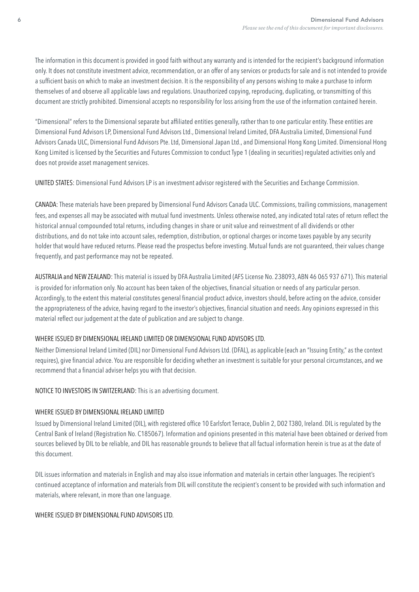The information in this document is provided in good faith without any warranty and is intended for the recipient's background information only. It does not constitute investment advice, recommendation, or an offer of any services or products for sale and is not intended to provide a sufficient basis on which to make an investment decision. It is the responsibility of any persons wishing to make a purchase to inform themselves of and observe all applicable laws and regulations. Unauthorized copying, reproducing, duplicating, or transmitting of this document are strictly prohibited. Dimensional accepts no responsibility for loss arising from the use of the information contained herein.

"Dimensional" refers to the Dimensional separate but affliated entities generally, rather than to one particular entity. These entities are Dimensional Fund Advisors LP, Dimensional Fund Advisors Ltd., Dimensional Ireland Limited, DFA Australia Limited, Dimensional Fund Advisors Canada ULC, Dimensional Fund Advisors Pte. Ltd, Dimensional Japan Ltd., and Dimensional Hong Kong Limited. Dimensional Hong Kong Limited is licensed by the Securities and Futures Commission to conduct Type 1 (dealing in securities) regulated activities only and does not provide asset management services.

UNITED STATES: Dimensional Fund Advisors LP is an investment advisor registered with the Securities and Exchange Commission.

CANADA: These materials have been prepared by Dimensional Fund Advisors Canada ULC. Commissions, trailing commissions, management fees, and expenses all may be associated with mutual fund investments. Unless otherwise noted, any indicated total rates of return refect the historical annual compounded total returns, including changes in share or unit value and reinvestment of all dividends or other distributions, and do not take into account sales, redemption, distribution, or optional charges or income taxes payable by any security holder that would have reduced returns. Please read the prospectus before investing. Mutual funds are not guaranteed, their values change frequently, and past performance may not be repeated.

AUSTRALIA and NEW ZEALAND: This material is issued by DFA Australia Limited (AFS License No. 238093, ABN 46 065 937 671). This material is provided for information only. No account has been taken of the objectives, financial situation or needs of any particular person. Accordingly, to the extent this material constitutes general fnancial product advice, investors should, before acting on the advice, consider the appropriateness of the advice, having regard to the investor's objectives, fnancial situation and needs. Any opinions expressed in this material reflect our judgement at the date of publication and are subject to change.

## WHERE ISSUED BY DIMENSIONAL IRELAND LIMITED OR DIMENSIONAL FUND ADVISORS LTD.

Neither Dimensional Ireland Limited (DIL) nor Dimensional Fund Advisors Ltd. (DFAL), as applicable (each an "Issuing Entity," as the context requires), give fnancial advice. You are responsible for deciding whether an investment is suitable for your personal circumstances, and we recommend that a fnancial adviser helps you with that decision.

NOTICE TO INVESTORS IN SWITZERLAND: This is an advertising document.

## WHERE ISSUED BY DIMENSIONAL IRELAND LIMITED

Issued by Dimensional Ireland Limited (DIL), with registered office 10 Earlsfort Terrace, Dublin 2, D02 T380, Ireland. DIL is regulated by the Central Bank of Ireland (Registration No. C185067). Information and opinions presented in this material have been obtained or derived from sources believed by DIL to be reliable, and DIL has reasonable grounds to believe that all factual information herein is true as at the date of this document.

DIL issues information and materials in English and may also issue information and materials in certain other languages. The recipient's continued acceptance of information and materials from DIL will constitute the recipient's consent to be provided with such information and materials, where relevant, in more than one language.

## WHERE ISSUED BY DIMENSIONAL FUND ADVISORS LTD.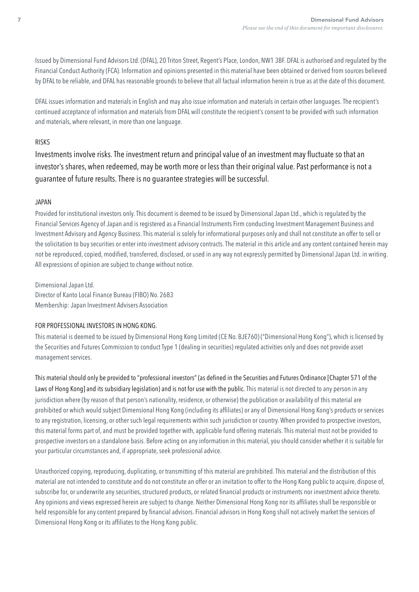Issued by Dimensional Fund Advisors Ltd. (DFAL), 20 Triton Street, Regent's Place, London, NW1 3BF. DFAL is authorised and regulated by the Financial Conduct Authority (FCA). Information and opinions presented in this material have been obtained or derived from sources believed by DFAL to be reliable, and DFAL has reasonable grounds to believe that all factual information herein is true as at the date of this document.

DFAL issues information and materials in English and may also issue information and materials in certain other languages. The recipient's continued acceptance of information and materials from DFAL will constitute the recipient's consent to be provided with such information and materials, where relevant, in more than one language.

## RISKS

Investments involve risks. The investment return and principal value of an investment may fuctuate so that an investor's shares, when redeemed, may be worth more or less than their original value. Past performance is not a guarantee of future results. There is no guarantee strategies will be successful.

## JAPAN

Provided for institutional investors only. This document is deemed to be issued by Dimensional Japan Ltd., which is regulated by the Financial Services Agency of Japan and is registered as a Financial Instruments Firm conducting Investment Management Business and Investment Advisory and Agency Business. This material is solely for informational purposes only and shall not constitute an offer to sell or the solicitation to buy securities or enter into investment advisory contracts. The material in this article and any content contained herein may not be reproduced, copied, modifed, transferred, disclosed, or used in any way not expressly permitted by Dimensional Japan Ltd. in writing. All expressions of opinion are subject to change without notice.

Dimensional Japan Ltd. Director of Kanto Local Finance Bureau (FIBO) No. 2683 Membership: Japan Investment Advisers Association

## FOR PROFESSIONAL INVESTORS IN HONG KONG.

This material is deemed to be issued by Dimensional Hong Kong Limited (CE No. BJE760) ("Dimensional Hong Kong"), which is licensed by the Securities and Futures Commission to conduct Type 1 (dealing in securities) regulated activities only and does not provide asset management services.

This material should only be provided to "professional investors" (as defned in the Securities and Futures Ordinance [Chapter 571 of the Laws of Hong Kongland its subsidiary legislation) and is not for use with the public. This material is not directed to any person in any jurisdiction where (by reason of that person's nationality, residence, or otherwise) the publication or availability of this material are prohibited or which would subject Dimensional Hong Kong (including its affliates) or any of Dimensional Hong Kong's products or services to any registration, licensing, or other such legal requirements within such jurisdiction or country. When provided to prospective investors, this material forms part of, and must be provided together with, applicable fund offering materials. This material must not be provided to prospective investors on a standalone basis. Before acting on any information in this material, you should consider whether it is suitable for your particular circumstances and, if appropriate, seek professional advice.

Unauthorized copying, reproducing, duplicating, or transmitting of this material are prohibited. This material and the distribution of this material are not intended to constitute and do not constitute an offer or an invitation to offer to the Hong Kong public to acquire, dispose of, subscribe for, or underwrite any securities, structured products, or related fnancial products or instruments nor investment advice thereto. Any opinions and views expressed herein are subject to change. Neither Dimensional Hong Kong nor its affliates shall be responsible or held responsible for any content prepared by fnancial advisors. Financial advisors in Hong Kong shall not actively market the services of Dimensional Hong Kong or its affliates to the Hong Kong public.